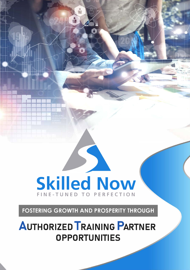# **Skilled Now** FINE-TUNED TO PERFECTION

**FOSTERING GROWTH AND PROSPERITY THROUGH** 

**AUTHORIZED TRAINING PARTNER OPPORTUNITIES**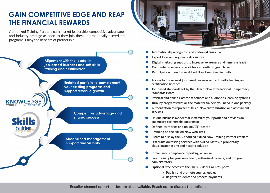### **GAIN COMPETITIVE EDGE AND REAP THE FINANCIAL REWARDS**

Authorized Training Partners earn market leadership, competitive advantage, and industry prestige as soon as they join these internationally accredited programs. Enjoy the benefits of partnership.



- **• Internationally recognized and endorsed curricula**
- **• Expert local and regional sales support**
- **• Digital marketing support to increase awareness and generate leads**
- **• Comprehensive welcome kit for a smooth program launch**
- **• Participation in exclusive Skilled Now Executive Summits**
- **• Access to the newest job-based business and soft skills training and certification libraries**
- **• Job-based standards set by the Skilled Now International Competency Standards Board**
- **•** Physical and online classroom courses and audiobook learning systems
- **• Turnkey programs with all the material trainers you need in one package**
- **• Authorization to represent Skilled Now customization and assessment services**
- **• Unique business model that maximizes your profit and provides an exemplary partnership experience**
- **• Defined territories and online ATP locator**
- **• Branding on the Skilled Now web sites**
- **• Rights to display the Authorized Skilled Now Training Partner emblem**
- **• Discounts on testing services with Skilled Matrix, a proprietary, cloud-based testing and hosting solution**
- **• Streamlined compliance reporting, all online**
- **• Free training for your sales team, authorized trainers, and program administrators**
- **• Optional, free access to the Skills Builder Pro LMS portal**
	- **./ Publish and promote your schedules**
	- **./ Register students and process payments**

**Reseller channel opportunities are also available. Reach out to discuss the options** 



**KNOWLED** 

**builder**<sub>re</sub>

**Enriched portfolio to complement your existing programs and support revenue growth** 

> **Competitive advantage and** shared success

**Streamlined management support and visibility**